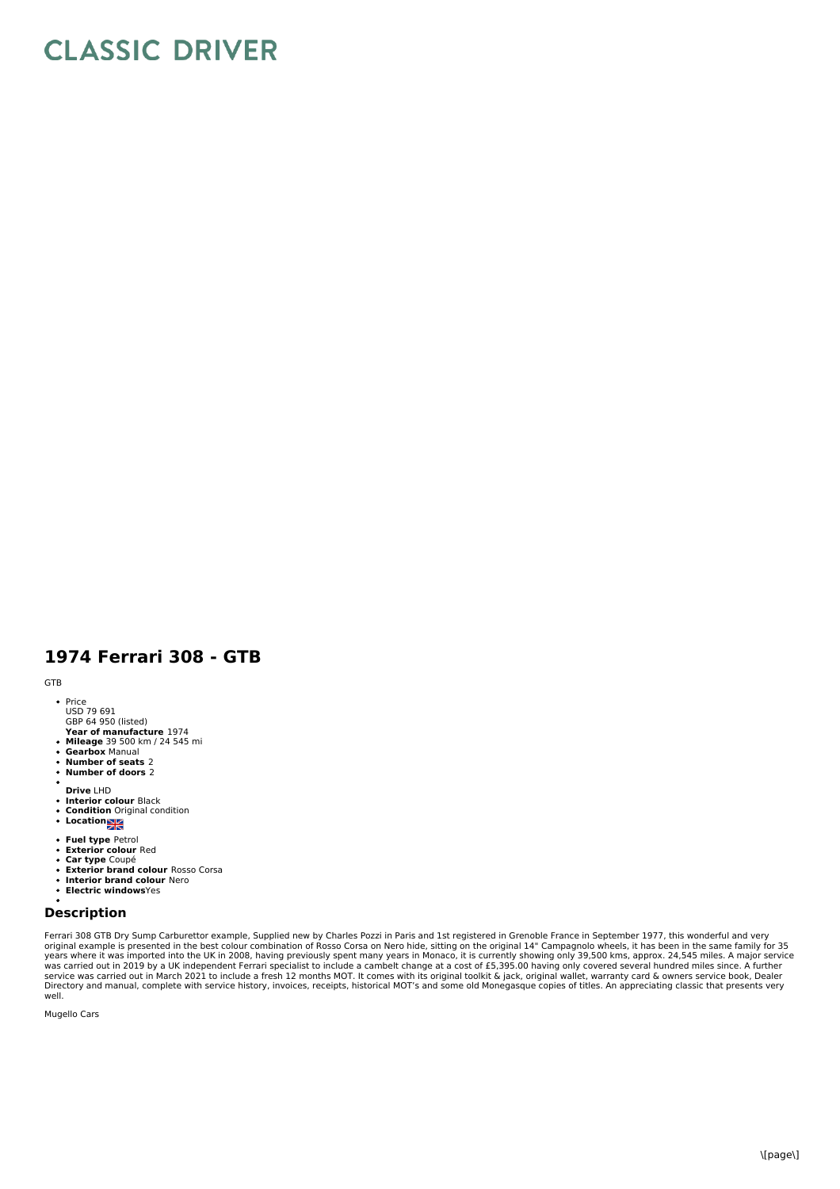## **CLASSIC DRIVER**

## **1974 Ferrari 308 - GTB**

GTB

- Price<br>USD 79 691
- GBP 64 950 (listed)
- 
- **Year of manufacture** 1974 **Mileage** 39 500 km / 24 545 mi **Gearbox** Manual
- 
- $\bullet$ **Number of seats** 2 **Number of doors** 2  $\overline{a}$
- 
- **Drive** LHD
- $\ddot{\phantom{0}}$ **Interior colour** Black
- **Condition** Original condition **Location**
- 
- **Fuel type** Petrol
- $\bullet$
- **Exterior colour** Red **Car type** Coupé
- **Exterior brand colour** Rosso Corsa  $\bullet$
- **Interior brand colour** Nero
- **Electric windows**Yes

**Description**

Ferrari 308 GTB Dry Sump Carburettor example, Supplied new by Charles Pozzi in Paris and 1st registered in Grenoble France in September 1977, this wonderful and very<br>original example is presented in the best colour combina well.

Mugello Cars